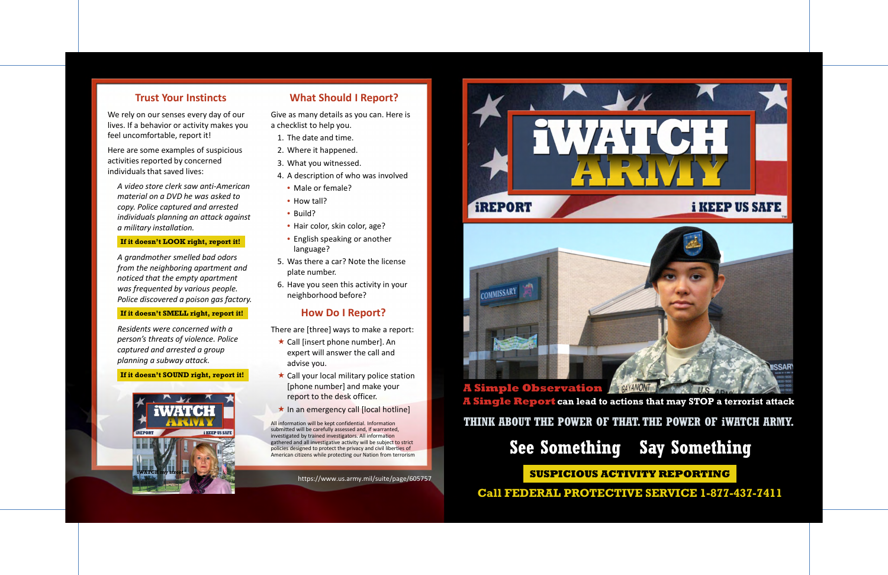### **Trust Your Instincts**

 We rely on our senses every day of our lives. If a behavior or activity makes you feel uncomfortable, report it!

 Here are some examples of suspicious activities reported by concerned individuals that saved lives:

 *A video store clerk saw anti-American material on a DVD he was asked to copy. Police captured and arrested individuals planning an attack against a military installation.* 

 *was frequented by various people. A grandmother smelled bad odors from the neighboring apartment and noticed that the empty apartment Police discovered a poison gas factory.* 

 *Residents were concerned with a person's threats of violence. Police captured and arrested a group planning a subway attack.* 

### **If it doesn't LOOK right, report it!**

 Give as many details as you can. Here is a checklist to help you.

### **If it doesn't SMELL right, report it!**

There are [three] ways to make a report:

- $\star$  Call [insert phone number]. An expert will answer the call and advise you.
- Call your local military police station [phone number] and make your report to the desk officer.
- $\star$  In an emergency call [local hotline]

### **If it doesn't SOUND right, report it!**



### **What Should I Report?**

 All information will be kept confidential. Information submitted will be carefully assessed and, if warranted, investigated by trained investigators. All information gathered and all investigative activity will be subject to strict policies designed to protect the privacy and civil liberties of American citizens while protecting our Nation from terrorism  **THINK ABOUT THE POWER OF THAT. THE POWER OF iWATCH ARMY.** 

- 1. The date and time.
- 2. Where it happened.
- 3. What you witnessed.
- 4. A description of who was involved
- Male or female?
- How tall?
- Build?
- Hair color, skin color, age?
- English speaking or another language?
- 5. Was there a car? Note the license plate number.
- 6. Have you seen this activity in your neighborhood before?

### **How Do I Report?**

<https://www.us.army.mil/suite/page/605757>





# **A Single Report can lead to actions that may STOP a terrorist attack**



# **SUSPICIOUS ACTIVITY REPORTING**

**Call FEDERAL PROTECTIVE SERVICE 1-877-437-7411**